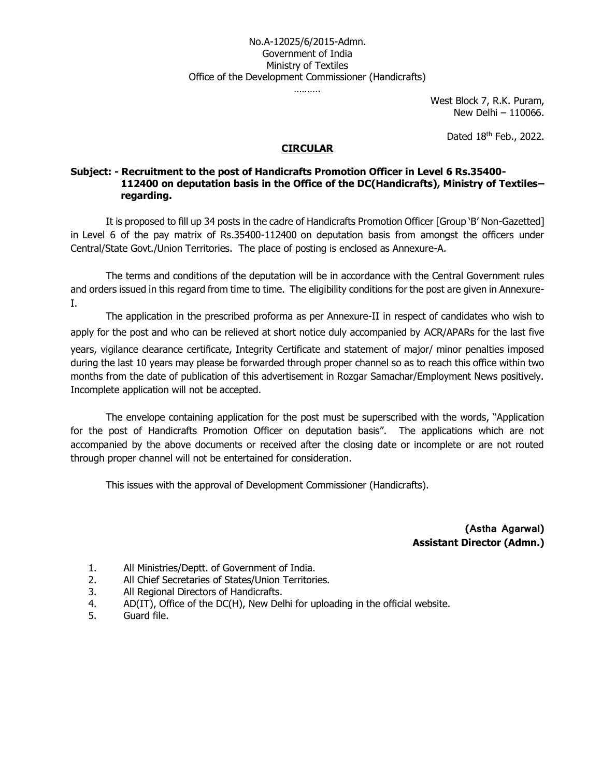#### No.A-12025/6/2015-Admn. Government of India Ministry of Textiles Office of the Development Commissioner (Handicrafts)

…………

West Block 7, R.K. Puram, New Delhi – 110066.

Dated 18th Feb., 2022.

#### **CIRCULAR**

#### **Subject: - Recruitment to the post of Handicrafts Promotion Officer in Level 6 Rs.35400- 112400 on deputation basis in the Office of the DC(Handicrafts), Ministry of Textiles– regarding.**

It is proposed to fill up 34 posts in the cadre of Handicrafts Promotion Officer [Group 'B' Non-Gazetted] in Level 6 of the pay matrix of Rs.35400-112400 on deputation basis from amongst the officers under Central/State Govt./Union Territories. The place of posting is enclosed as Annexure-A.

The terms and conditions of the deputation will be in accordance with the Central Government rules and orders issued in this regard from time to time. The eligibility conditions for the post are given in Annexure-I.

The application in the prescribed proforma as per Annexure-II in respect of candidates who wish to apply for the post and who can be relieved at short notice duly accompanied by ACR/APARs for the last five years, vigilance clearance certificate, Integrity Certificate and statement of major/ minor penalties imposed during the last 10 years may please be forwarded through proper channel so as to reach this office within two months from the date of publication of this advertisement in Rozgar Samachar/Employment News positively. Incomplete application will not be accepted.

The envelope containing application for the post must be superscribed with the words, "Application for the post of Handicrafts Promotion Officer on deputation basis". The applications which are not accompanied by the above documents or received after the closing date or incomplete or are not routed through proper channel will not be entertained for consideration.

This issues with the approval of Development Commissioner (Handicrafts).

**(Astha Agarwal) Assistant Director (Admn.)**

- 1. All Ministries/Deptt. of Government of India.
- 2. All Chief Secretaries of States/Union Territories.
- 3. All Regional Directors of Handicrafts.
- 4. AD(IT), Office of the DC(H), New Delhi for uploading in the official website.
- 5. Guard file.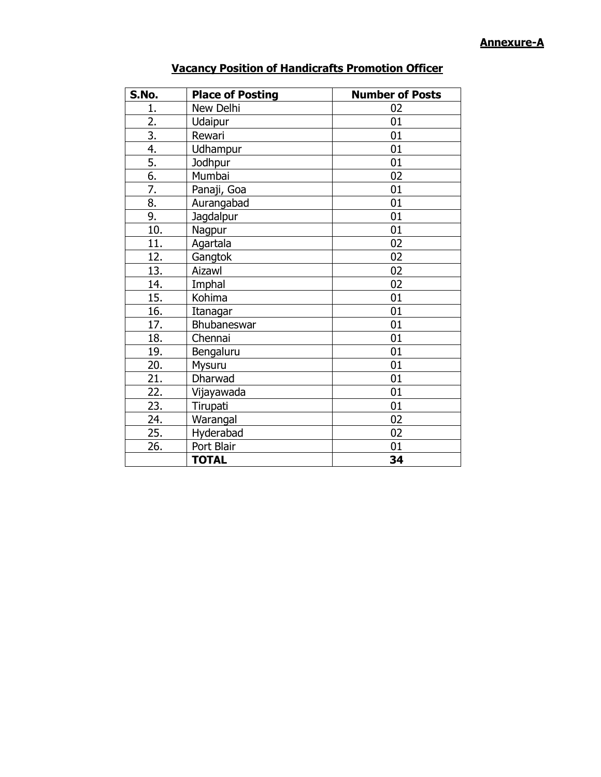#### **Annexure-A**

| S.No.            | <b>Place of Posting</b> | <b>Number of Posts</b> |
|------------------|-------------------------|------------------------|
| 1.               | New Delhi               | 02                     |
| 2.               | Udaipur                 | 01                     |
| $\overline{3}$ . | Rewari                  | 01                     |
| $\overline{4}$ . | Udhampur                | 01                     |
| $\overline{5}$ . | Jodhpur                 | 01                     |
| 6.               | Mumbai                  | 02                     |
| 7.               | Panaji, Goa             | 01                     |
| 8.               | Aurangabad              | 01                     |
| 9.               | Jagdalpur               | 01                     |
| 10.              | Nagpur                  | 01                     |
| 11.              | Agartala                | 02                     |
| 12.              | Gangtok                 | 02                     |
| 13.              | Aizawl                  | 02                     |
| 14.              | Imphal                  | 02                     |
| 15.              | Kohima                  | 01                     |
| 16.              | Itanagar                | 01                     |
| 17.              | Bhubaneswar             | 01                     |
| 18.              | Chennai                 | 01                     |
| 19.              | Bengaluru               | 01                     |
| 20.              | Mysuru                  | 01                     |
| 21.              | Dharwad                 | 01                     |
| 22.              | Vijayawada              | 01                     |
| 23.              | Tirupati                | 01                     |
| 24.              | Warangal                | 02                     |
| 25.              | Hyderabad               | 02                     |
| 26.              | Port Blair              | 01                     |
|                  | <b>TOTAL</b>            | 34                     |

# **Vacancy Position of Handicrafts Promotion Officer**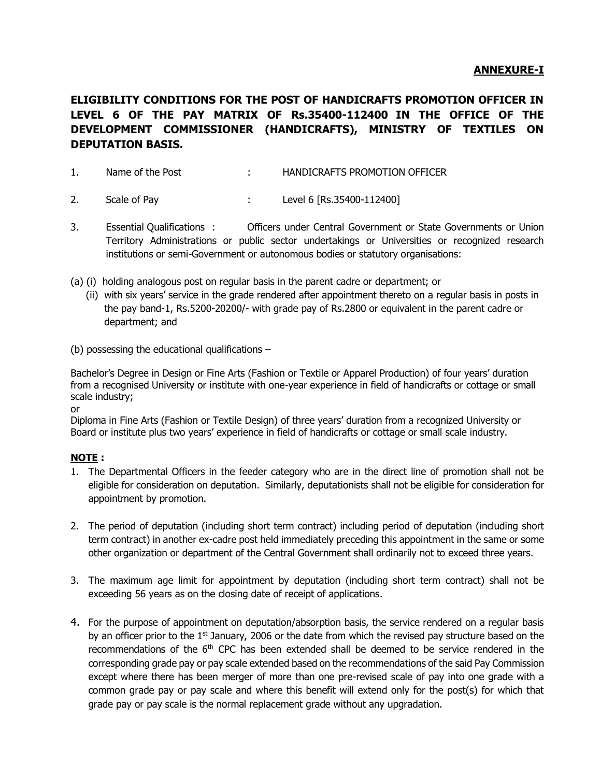#### **ANNEXURE-I**

# **ELIGIBILITY CONDITIONS FOR THE POST OF HANDICRAFTS PROMOTION OFFICER IN LEVEL 6 OF THE PAY MATRIX OF Rs.35400-112400 IN THE OFFICE OF THE DEVELOPMENT COMMISSIONER (HANDICRAFTS), MINISTRY OF TEXTILES ON DEPUTATION BASIS.**

1. Name of the Post : HANDICRAFTS PROMOTION OFFICER

- 2. Scale of Pay : Level 6 [Rs.35400-112400]
- 3. Essential Qualifications : Officers under Central Government or State Governments or Union Territory Administrations or public sector undertakings or Universities or recognized research institutions or semi-Government or autonomous bodies or statutory organisations:
- (a) (i) holding analogous post on regular basis in the parent cadre or department; or
	- (ii) with six years' service in the grade rendered after appointment thereto on a regular basis in posts in the pay band-1, Rs.5200-20200/- with grade pay of Rs.2800 or equivalent in the parent cadre or department; and
- (b) possessing the educational qualifications –

Bachelor's Degree in Design or Fine Arts (Fashion or Textile or Apparel Production) of four years' duration from a recognised University or institute with one-year experience in field of handicrafts or cottage or small scale industry;

or

Diploma in Fine Arts (Fashion or Textile Design) of three years' duration from a recognized University or Board or institute plus two years' experience in field of handicrafts or cottage or small scale industry.

#### **NOTE :**

- 1. The Departmental Officers in the feeder category who are in the direct line of promotion shall not be eligible for consideration on deputation. Similarly, deputationists shall not be eligible for consideration for appointment by promotion.
- 2. The period of deputation (including short term contract) including period of deputation (including short term contract) in another ex-cadre post held immediately preceding this appointment in the same or some other organization or department of the Central Government shall ordinarily not to exceed three years.
- 3. The maximum age limit for appointment by deputation (including short term contract) shall not be exceeding 56 years as on the closing date of receipt of applications.
- 4. For the purpose of appointment on deputation/absorption basis, the service rendered on a regular basis by an officer prior to the  $1<sup>st</sup>$  January, 2006 or the date from which the revised pay structure based on the recommendations of the  $6<sup>th</sup>$  CPC has been extended shall be deemed to be service rendered in the corresponding grade pay or pay scale extended based on the recommendations of the said Pay Commission except where there has been merger of more than one pre-revised scale of pay into one grade with a common grade pay or pay scale and where this benefit will extend only for the post(s) for which that grade pay or pay scale is the normal replacement grade without any upgradation.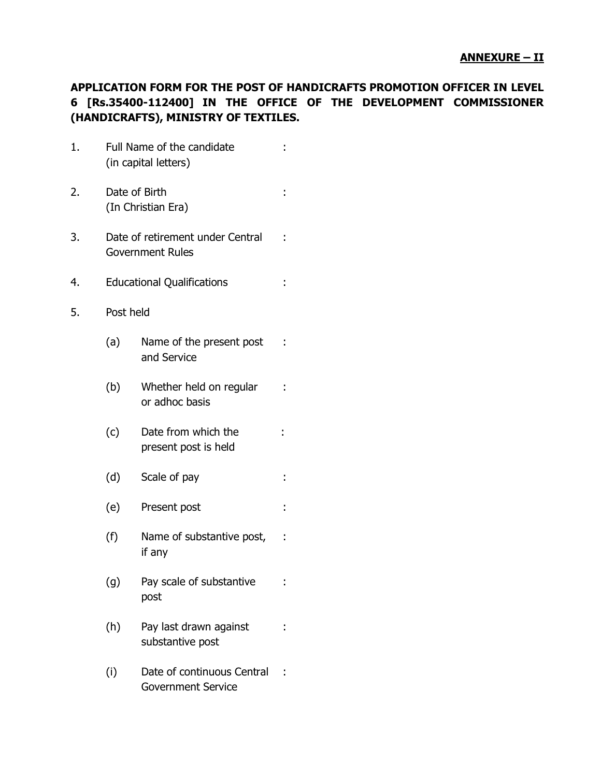# **APPLICATION FORM FOR THE POST OF HANDICRAFTS PROMOTION OFFICER IN LEVEL 6 [Rs.35400-112400] IN THE OFFICE OF THE DEVELOPMENT COMMISSIONER (HANDICRAFTS), MINISTRY OF TEXTILES.**

- 1. Full Name of the candidate : (in capital letters)
- 2. Date of Birth : the state of Birth and the state of Birth in the state of  $\mathbb{R}^2$  in the state of  $\mathbb{R}^2$  in the state of  $\mathbb{R}^2$  in the state of  $\mathbb{R}^2$  in the state of  $\mathbb{R}^2$  in the state of  $\mathbb{R}^2$ (In Christian Era)
- 3. Date of retirement under Central : Government Rules
- 4. Educational Qualifications :
- 5. Post held
	- (a) Name of the present post : and Service
	- (b) Whether held on regular : or adhoc basis
	- (c) Date from which the : present post is held
	- (d) Scale of pay :
	- (e) Present post :
	- (f) Name of substantive post, : if any
	- (g) Pay scale of substantive : post
	- (h) Pay last drawn against : substantive post
	- (i) Date of continuous Central : Government Service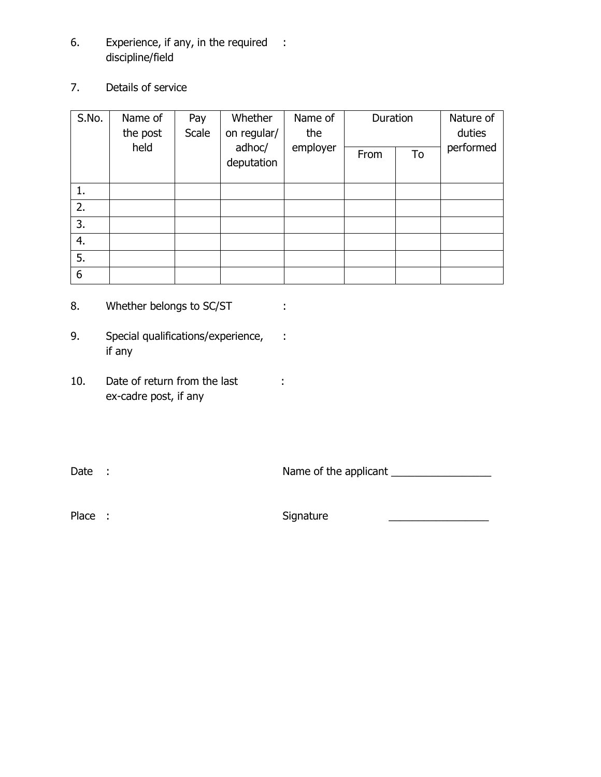- 6. Experience, if any, in the required : discipline/field
- 7. Details of service

| S.No. | Whether<br>Name of<br>Pay<br>Scale<br>on regular/<br>the post |  | Name of<br>the       | Duration |      | Nature of<br>duties |           |
|-------|---------------------------------------------------------------|--|----------------------|----------|------|---------------------|-----------|
|       | held                                                          |  | adhoc/<br>deputation | employer | From | To                  | performed |
| 1.    |                                                               |  |                      |          |      |                     |           |
| 2.    |                                                               |  |                      |          |      |                     |           |
| 3.    |                                                               |  |                      |          |      |                     |           |
| 4.    |                                                               |  |                      |          |      |                     |           |
| 5.    |                                                               |  |                      |          |      |                     |           |
| 6     |                                                               |  |                      |          |      |                     |           |

- 8. Whether belongs to SC/ST :
- 9. Special qualifications/experience, : if any
- 10. Date of return from the last : ex-cadre post, if any

Date :  $\blacksquare$  Name of the applicant  $\blacksquare$ 

Place : 2000 and 2010 Signature 2010 and 2010 and 2010 and 2010 and 2010 and 2010 and 2010 and 2010 and 2010 and 2010 and 2010 and 2010 and 2010 and 2010 and 2010 and 2010 and 2010 and 2010 and 2010 and 2010 and 2010 and 2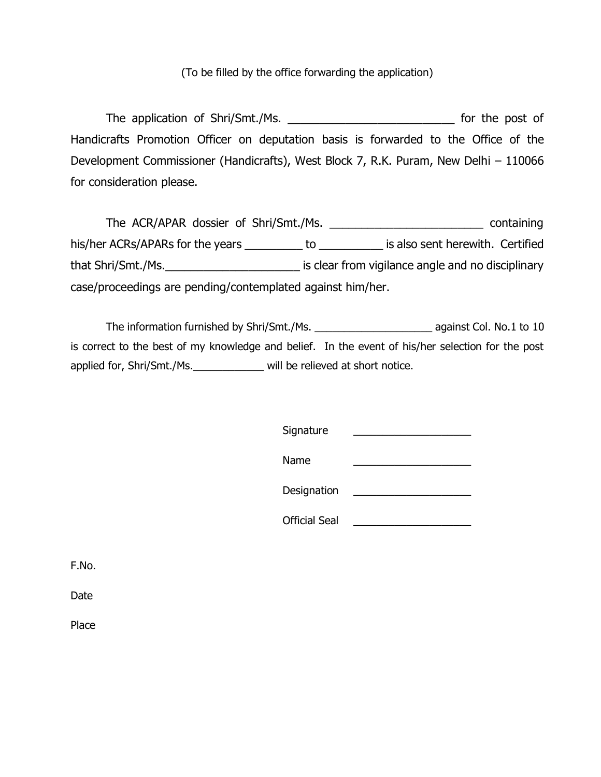### (To be filled by the office forwarding the application)

The application of Shri/Smt./Ms. \_\_\_\_\_\_\_\_\_\_\_\_\_\_\_\_\_\_\_\_\_\_\_\_\_\_ for the post of Handicrafts Promotion Officer on deputation basis is forwarded to the Office of the Development Commissioner (Handicrafts), West Block 7, R.K. Puram, New Delhi – 110066 for consideration please.

The ACR/APAR dossier of Shri/Smt./Ms. \_\_\_\_\_\_\_\_\_\_\_\_\_\_\_\_\_\_\_\_\_\_\_\_ containing his/her ACRs/APARs for the years \_\_\_\_\_\_\_\_\_\_ to \_\_\_\_\_\_\_\_\_\_\_ is also sent herewith. Certified that Shri/Smt./Ms. That Shri/Smt./Ms. case/proceedings are pending/contemplated against him/her.

The information furnished by Shri/Smt./Ms. \_\_\_\_\_\_\_\_\_\_\_\_\_\_\_\_\_\_\_\_ against Col. No.1 to 10 is correct to the best of my knowledge and belief. In the event of his/her selection for the post applied for, Shri/Smt./Ms.\_\_\_\_\_\_\_\_\_\_\_\_ will be relieved at short notice.

| Signature            |  |
|----------------------|--|
| Name                 |  |
| Designation          |  |
| <b>Official Seal</b> |  |

F.No.

Date

Place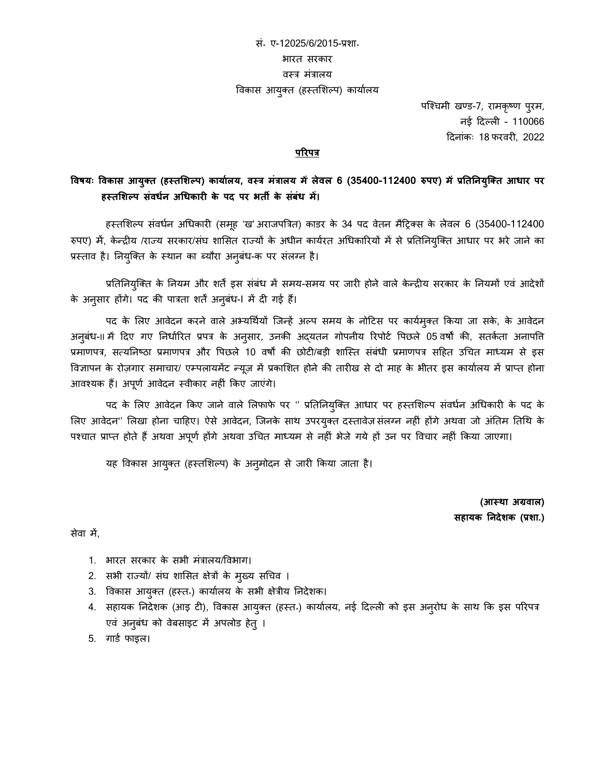# सं॰ ए-12025/6/2015-प्रशा॰ भारत सरकार वस्त्र मंरालय विकास आयुक्त (हस्तशिल्प) कार्यालय

पश्चिमी खण्ड-7, रामकृष्ण पुरम, नई दिल्ली - 110066 दिनांकः 18 फरवरी, 2022

#### **परिपत्र**

### **विषयः विकास आयुक्त (हस्तशिल्प) कायाालय, िस्त्र मंत्रालय मेंलेिल 6 (35400-112400 रुपए) मेंप्रतततियुक्क्त आधाि पि हस्तशिल्प संिधाि अधधकािी के पद पि भती के सबं ंध में।**

हस्तशिल्प संवर्धन अधिकारी (समूह 'ख' अराजपत्रित) काडर के 34 पद वेतन मैट्रिक्स के लेवल 6 (35400-112400 रुपए) में, केन्द्रीय /राज्य सरकार/संघ शासित राज्यों के अधीन कार्यरत अधिकारियों में से प्रतिनियुक्ति आधार पर भरे जाने का प्रस्त्ताव है। तनयश्ुक्त के स्त्थान का ब्यौरा अनुबंर्-क पर संलग्न है।

प्रतिनियुक्ति के नियम और शर्तें इस संबंध में समय-समय पर जारी होने वाले केन्द्रीय सरकार के नियमों एवं आदेशों के अनुसार होंगे। पद की पात्रता शर्तें अनुबंध-I में दी गई हैं।

पद के लिए आवेदन करने वाले अभ्यर्थियों जिन्हें अल्प समय के नोटिस पर कार्यमुक्त किया जा सके, के आवेदन अनुबंध-II में दिए गए निर्धारित प्रपत्र के अनुसार, उनकी अद्यतन गोपनीय रिपोर्ट पिछले 05 वर्षों की, सतर्कता अनापति प्रमाणपर, सत्यतनष्ठा प्रमाणपर और वपछले 10 वर्षों की छोिी/बड़ी शाश्स्त्त संबंर्ी प्रमाणपर सदहत उधित माध्यम से इस विज्ञापन के रोज़गार समाचार/ एम्पलायमेंट न्यूज़ में प्रकाशित होने की तारीख से दो माह के भीतर इस कार्यालय में प्राप्त होना आवश्यक हैं। अपूर्ण आवेदन स्वीकार नहीं किए जाएंगे।

पद के लिए आवेदन किए जाने वाले लिफाफे पर '' प्रतिनियुक्ति आधार पर हस्तशिल्प संवर्धन अधिकारी के पद के लिए आवेदन" लिखा होना चाहिए। ऐसे आवेदन, जिनके साथ उपरयुक्त दस्तावेज़ संलग्न नहीं होंगे अथवा जो अंतिम तिथि के पश्चात प्राप्त होते हैं अथवा अपूर्ण होंगे अथवा उचित माध्यम से नहीं भेजे गये हों उन पर विचार नहीं किया जाएगा।

यह विकास आयुक्त (हस्तशिल्प) के अनुमोदन से जारी किया जाता है।

**(आस्था अग्रिाल) सहायक तिदेिक (प्रिा.)**

सेवा में,

- 1. भारत सरकार के सभी मंरालय/ववभाग।
- 2. सभी राज्यों/ संघ शाशसत क्षेरों के मुख्य सधिव ।
- 3. ववकास आयुक्त (हस्त्त॰) कायाालय के सभी क्षेरीय तनिेशक।
- 4. सहायक निदेशक (आइ टी), विकास आयुक्त (हस्त<sup>ू</sup>) कार्यालय, नई दिल्ली को इस अनुरोध के साथ कि इस परिपत्र एवं अनुबंध को वेबसाइट में अपलोड हेतु ।
- 5. गार्ड फाइल।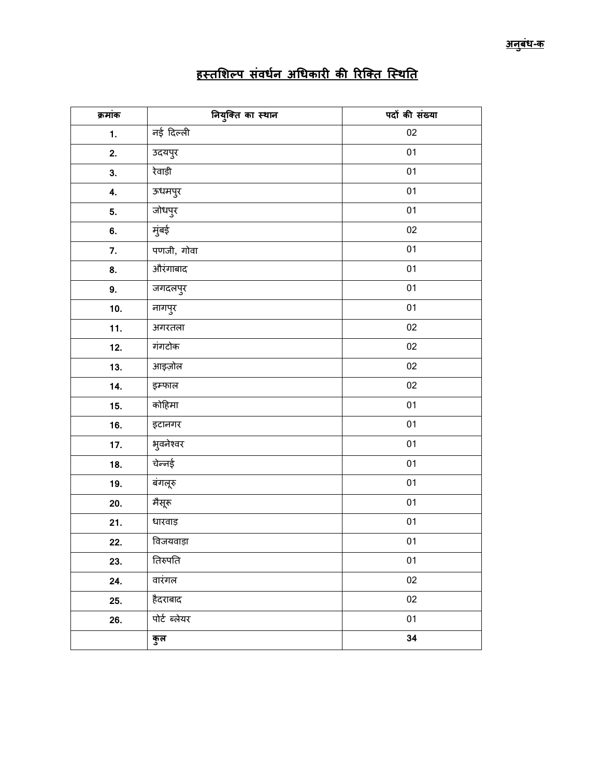| क्रमांक | नियुक्ति का स्थान | पदों की संख्या |
|---------|-------------------|----------------|
| 1.      | नई दिल्ली         | $02\,$         |
| 2.      | उदयपुर            | 01             |
| 3.      | रेवाड़ी           | 01             |
| 4.      | ऊधमपुर            | 01             |
| 5.      | जोधपुर            | 01             |
| 6.      | मुंबई             | 02             |
| 7.      | पणजी, गोवा        | 01             |
| 8.      | औरंगाबाद          | 01             |
| 9.      | जगदलपुर           | 01             |
| 10.     | नागपुर            | 01             |
| 11.     | अगरतला            | 02             |
| 12.     | गंगटोक            | $02\,$         |
| 13.     | आइज़ोल            | 02             |
| 14.     | इम्फाल            | 02             |
| 15.     | कोहिमा            | $01\,$         |
| 16.     | इटानगर            | 01             |
| 17.     | भुवनेश्वर         | 01             |
| 18.     | चेन्नई            | $01\,$         |
| 19.     | बंगलूरु           | 01             |
| 20.     | मैसूरू            | $01\,$         |
| 21.     | धारवाड़           | $01\,$         |
| 22.     | विजयवाड़ा         | $01\,$         |
| 23.     | तिरुपति           | 01             |
| 24.     | वारंगल            | $02\,$         |
| 25.     | हैदराबाद          | 02             |
| 26.     | पोर्ट ब्लेयर      | 01             |
|         | कुल               | 34             |

# <u>हस्तशिल्प संवर्धन अधिकारी की रिक्ति स्थिति</u>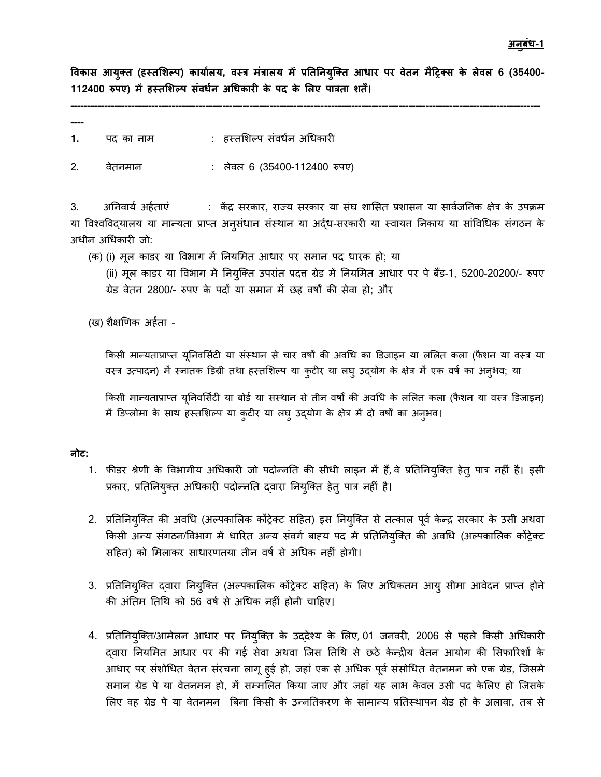**विकास आयक्ुत (हस्तशिल्प) कायाला य, िस्त्र मंत्रालय में प्रतततियक्ुक्त आधाि पि िेति मैट्रिक्स के लेिल 6 (35400- 112400 रुपए) में हस्तशिल्प संिधाि अधधकािी के पद के शलए पात्रता ितें।**

**-------------------------------------------------------------------------------------------------------------------------------------------**

**----**

- **1.** पद का नाम : हस्तशिल्प संवर्धन अधिकारी
- 2. वेतनमान : लेवल 6 (35400-112400 रुपए)

3. अनिवार्य अर्हताएं : केंद्र सरकार, राज्य सरकार या संघ शासित प्रशासन या सार्वजनिक क्षेत्र के उपक्रम या विश्वविद्यालय या मान्यता प्राप्त अनुसंधान संस्थान या अर्द्ध-सरकारी या स्वायत्त निकाय या सांविधिक संगठन के अधीन अधिकारी जो:

(क) (i) मूल काडर या विभाग में नियमित आधार पर समान पद धारक हो; या

(ii) मूल काडर या विभाग में नियुक्ति उपरांत प्रदत्त ग्रेड में नियमित आधार पर पे बैंड-1, 5200-20200/- रुपए ग्रेड वेतन 2800/- रुपए के पिों या समान में छह वर्षों की सेवा हो; और

(ख) शैक्षणणक अहाता -

किसी मान्यताप्राप्त यूनिवर्सिटी या संस्थान से चार वर्षों की अवधि का डिजाइन या ललित कला (फैशन या वस्त्र या वस्त्र उत्पादन) में स्नातक डिग्री तथा हस्तशिल्प या कुटीर या लघु उद्योग के क्षेत्र में एक वर्ष का अनुभव; या

किसी मान्यताप्राप्त यूनिवर्सिटी या बोर्ड या संस्थान से तीन वर्षों की अवधि के ललित कला (फैशन या वस्त्र डिजाइन) में डिप्लोमा के साथ हस्तशिल्प या कुटीर या लघु उद्योग के क्षेत्र में दो वर्षों का अनुभव।

#### <u>नोट:</u>

- 1. फीडर श्रेणी के विभागीय अधिकारी जो पदोन्नति की सीधी लाइन में हैं, वे प्रतिनियुक्ति हेतु पात्र नहीं है। इसी प्रकार, प्रतिनियुक्त अधिकारी पदोन्नति द्वारा नियुक्ति हेतु पात्र नहीं है।
- 2. प्रतिनियुक्ति की अवधि (अल्पकालिक कोंट्रेक्ट सहित) इस नियुक्ति से तत्काल पूर्व केन्द्र सरकार के उसी अथवा किसी अन्य संगठन/विभाग में धारित अन्य संवर्ग बाह्य पद में प्रतिनियुक्ति की अवधि (अल्पकालिक कोंट्रेक्ट सहित) को मिलाकर साधारणतया तीन वर्ष से अधिक नहीं होगी।
- 3. प्रतिनियुक्ति द्वारा नियुक्ति (अल्पकालिक कोंट्रेक्ट सहित) के लिए अधिकतम आयु सीमा आवेदन प्राप्त होने की अंतिम तिथि को 56 वर्ष से अधिक नहीं होनी चाहिए।
- 4. प्रतिनियुक्ति/आमेलन आधार पर नियुक्ति के उद्देश्य के लिए, 01 जनवरी, 2006 से पहले किसी अधिकारी दवारा नियमित आधार पर की गई सेवा अथवा जिस तिथि से छठे केन्द्रीय वेतन आयोग की सिफारिशों के आधार पर संशोधित वेतन संरचना लागू हुई हो, जहां एक से अधिक पूर्व संसोधित वेतनमन को एक ग्रेड, जिसमे समान ग्रेड पे या वेतनमन हो, में सम्मशलत ककया जाए और जहां यह लाभ केवल उसी पि केशलए हो श्जसके शलए वह ग्रेड पे या वेतनमन त्रबना ककसी के उन्द्नततकरण के सामान्द्य प्रततस्त्थापन ग्रेड हो के अलावा, तब से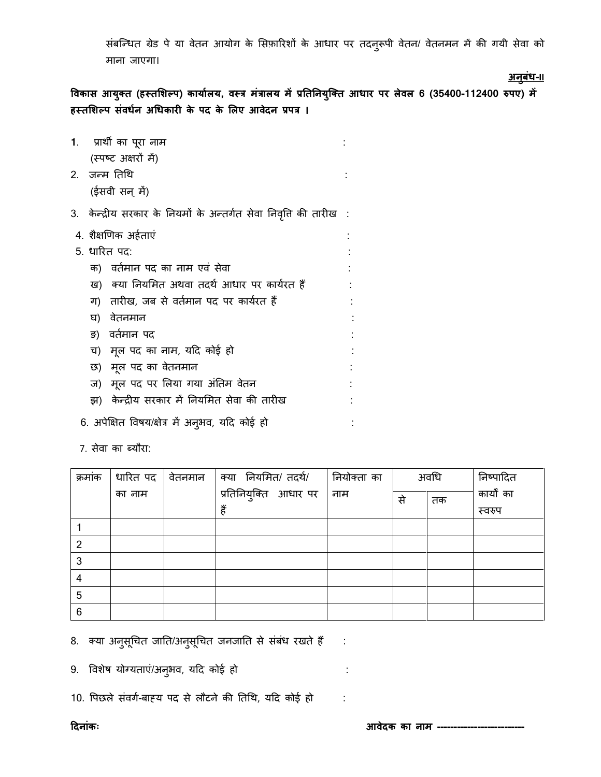संबन्धित ग्रेड पे या वेतन आयोग के सिफ़ारिशों के आधार पर तदनुरूपी वेतन/ वेतनमन में की गयी सेवा को माना जाएगा।

**अिबुधं -II**

**विकास आयक्ुत (हस्तशिल्प) कायाालय, िस्त्र मंत्रालय मेंप्रतततियक्ुक्त आधाि पि लेिल 6 (35400-112400 रुपए) में हस्तशिल्प संिधाि अधधकािी के पद के शलए आिेदि प्रपत्र ।** 

- **1**. प्राथी का परूा नाम : (स्त्पष्ि अक्षरों में) 2. जन्द्म ततधथ : (ईसवी सन् में) 3. केन्द्रीय सरकार के नियमों के अन्तर्गत सेवा निवृत्ति की तारीख : 4. शैक्षणणक अहाताएं : 5. धारित पद: क) वर्तमान पद का नाम एवं सेवा ख) क्या नियमित अथवा तदर्थ आधार पर कार्यरत हैं : ग) तारीख, जब से वर्तमान पद पर कार्यरत हैं घ) वेतनमान ङ) वर्तमान पद च) मूल पद का नाम, यदि कोई हो छ) मूल पद का वेतनमान ज) मूल पद पर लिया गया अंतिम वेतन झ) केन्द्रीय सरकार में तनयशमत सेवा की तारीख : 6. अपेक्षित विषय/क्षेत्र में अनुभव, यदि कोई हो : : : : : :
	- 7. सेवा का ब्यौरा:

| क्रमांक | धारित पद | वेतनमान | क्या नियमित/ तदर्थ/   | नियोक्ता का | अवधि |    | निष्पादित  |
|---------|----------|---------|-----------------------|-------------|------|----|------------|
|         | का नाम   |         | प्रतिनियुक्ति आधार पर | नाम         | से   | तक | कार्यों का |
|         |          |         | हैं                   |             |      |    | स्वरुप     |
|         |          |         |                       |             |      |    |            |
| 2       |          |         |                       |             |      |    |            |
| 3       |          |         |                       |             |      |    |            |
| 4       |          |         |                       |             |      |    |            |
| 5       |          |         |                       |             |      |    |            |
| 6       |          |         |                       |             |      |    |            |

8. क्या अनुसूचित जाति/अनुसूचित जनजाति से संबंध रखते हैं :

9. ववशेर्ष योग्यताएं/अनभु व, यदि कोई हो :

10. पिछले संवर्ग-बाह्य पद से लौटने की तिथि, यदि कोई हो :